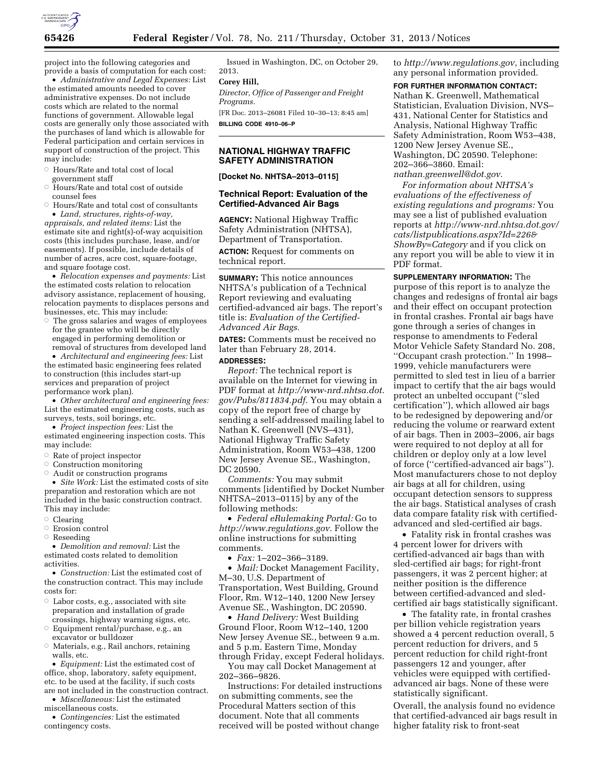

project into the following categories and provide a basis of computation for each cost:

• *Administrative and Legal Expenses:* List the estimated amounts needed to cover administrative expenses. Do not include costs which are related to the normal functions of government. Allowable legal costs are generally only those associated with the purchases of land which is allowable for Federal participation and certain services in support of construction of the project. This may include:

- $\circ$  Hours/Rate and total cost of local government staff
- Æ Hours/Rate and total cost of outside counsel fees
- $\circ$  Hours/Rate and total cost of consultants • *Land, structures, rights-of-way,*

*appraisals, and related items:* List the estimate site and right(s)-of-way acquisition costs (this includes purchase, lease, and/or easements). If possible, include details of number of acres, acre cost, square-footage, and square footage cost.

• *Relocation expenses and payments:* List the estimated costs relation to relocation advisory assistance, replacement of housing, relocation payments to displaces persons and businesses, etc. This may include:

 $\circ$  The gross salaries and wages of employees for the grantee who will be directly engaged in performing demolition or removal of structures from developed land

• *Architectural and engineering fees:* List the estimated basic engineering fees related to construction (this includes start-up services and preparation of project performance work plan).

• *Other architectural and engineering fees:*  List the estimated engineering costs, such as surveys, tests, soil borings, etc.

• *Project inspection fees:* List the estimated engineering inspection costs. This may include:

- $\circ$  Rate of project inspector
- Æ Construction monitoring
- $\circ$  Audit or construction programs

• *Site Work:* List the estimated costs of site preparation and restoration which are not included in the basic construction contract. This may include:

- Clearing
- Æ Erosion control
- Æ Reseeding

• *Demolition and removal:* List the estimated costs related to demolition activities.

• *Construction:* List the estimated cost of the construction contract. This may include costs for:

- $\circ$  Labor costs, e.g., associated with site preparation and installation of grade crossings, highway warning signs, etc.
- $\circ$  Equipment rental/purchase, e.g., an excavator or bulldozer
- Æ Materials, e.g., Rail anchors, retaining walls, etc.

• *Equipment:* List the estimated cost of office, shop, laboratory, safety equipment, etc. to be used at the facility, if such costs are not included in the construction contract.

• *Miscellaneous:* List the estimated miscellaneous costs.

• *Contingencies:* List the estimated contingency costs.

Issued in Washington, DC, on October 29, 2013.

# **Corey Hill,**

*Director, Office of Passenger and Freight Programs.* 

[FR Doc. 2013–26081 Filed 10–30–13; 8:45 am] **BILLING CODE 4910–06–P** 

### **NATIONAL HIGHWAY TRAFFIC SAFETY ADMINISTRATION**

**[Docket No. NHTSA–2013–0115]** 

### **Technical Report: Evaluation of the Certified-Advanced Air Bags**

**AGENCY:** National Highway Traffic Safety Administration (NHTSA), Department of Transportation.

**ACTION:** Request for comments on technical report.

**SUMMARY:** This notice announces NHTSA's publication of a Technical Report reviewing and evaluating certified-advanced air bags. The report's title is: *Evaluation of the Certified-Advanced Air Bags.* 

**DATES:** Comments must be received no later than February 28, 2014.

### **ADDRESSES:**

*Report:* The technical report is available on the Internet for viewing in PDF format at *[http://www-nrd.nhtsa.dot.](http://www-nrd.nhtsa.dot.gov/Pubs/811834.pdf) [gov/Pubs/811834.pdf.](http://www-nrd.nhtsa.dot.gov/Pubs/811834.pdf)* You may obtain a copy of the report free of charge by sending a self-addressed mailing label to Nathan K. Greenwell (NVS–431), National Highway Traffic Safety Administration, Room W53–438, 1200 New Jersey Avenue SE., Washington, DC 20590.

*Comments:* You may submit comments [identified by Docket Number NHTSA–2013–0115] by any of the following methods:

• *Federal eRulemaking Portal:* Go to *[http://www.regulations.gov.](http://www.regulations.gov)* Follow the online instructions for submitting comments.

• *Fax:* 1–202–366–3189.

• *Mail:* Docket Management Facility, M–30, U.S. Department of Transportation, West Building, Ground Floor, Rm. W12–140, 1200 New Jersey Avenue SE., Washington, DC 20590.

• *Hand Delivery:* West Building Ground Floor, Room W12–140, 1200 New Jersey Avenue SE., between 9 a.m. and 5 p.m. Eastern Time, Monday through Friday, except Federal holidays.

You may call Docket Management at 202–366–9826.

Instructions: For detailed instructions on submitting comments, see the Procedural Matters section of this document. Note that all comments received will be posted without change

to *<http://www.regulations.gov>*, including any personal information provided.

#### **FOR FURTHER INFORMATION CONTACT:**

Nathan K. Greenwell, Mathematical Statistician, Evaluation Division, NVS– 431, National Center for Statistics and Analysis, National Highway Traffic Safety Administration, Room W53–438, 1200 New Jersey Avenue SE., Washington, DC 20590. Telephone: 202–366–3860. Email: *[nathan.greenwell@dot.gov.](mailto:nathan.greenwell@dot.gov)* 

*For information about NHTSA's evaluations of the effectiveness of existing regulations and programs:* You may see a list of published evaluation reports at *[http://www-nrd.nhtsa.dot.gov/](http://www-nrd.nhtsa.dot.gov/cats/listpublications.aspx?Id=226&ShowBy=Category)  [cats/listpublications.aspx?Id=226&](http://www-nrd.nhtsa.dot.gov/cats/listpublications.aspx?Id=226&ShowBy=Category) [ShowBy=Category](http://www-nrd.nhtsa.dot.gov/cats/listpublications.aspx?Id=226&ShowBy=Category)* and if you click on any report you will be able to view it in PDF format.

**SUPPLEMENTARY INFORMATION:** The purpose of this report is to analyze the changes and redesigns of frontal air bags and their effect on occupant protection in frontal crashes. Frontal air bags have gone through a series of changes in response to amendments to Federal Motor Vehicle Safety Standard No. 208, ''Occupant crash protection.'' In 1998– 1999, vehicle manufacturers were permitted to sled test in lieu of a barrier impact to certify that the air bags would protect an unbelted occupant (''sled certification''), which allowed air bags to be redesigned by depowering and/or reducing the volume or rearward extent of air bags. Then in 2003–2006, air bags were required to not deploy at all for children or deploy only at a low level of force (''certified-advanced air bags''). Most manufacturers chose to not deploy air bags at all for children, using occupant detection sensors to suppress the air bags. Statistical analyses of crash data compare fatality risk with certifiedadvanced and sled-certified air bags.

• Fatality risk in frontal crashes was 4 percent lower for drivers with certified-advanced air bags than with sled-certified air bags; for right-front passengers, it was 2 percent higher; at neither position is the difference between certified-advanced and sledcertified air bags statistically significant.

• The fatality rate, in frontal crashes per billion vehicle registration years showed a 4 percent reduction overall, 5 percent reduction for drivers, and 5 percent reduction for child right-front passengers 12 and younger, after vehicles were equipped with certifiedadvanced air bags. None of these were statistically significant.

Overall, the analysis found no evidence that certified-advanced air bags result in higher fatality risk to front-seat